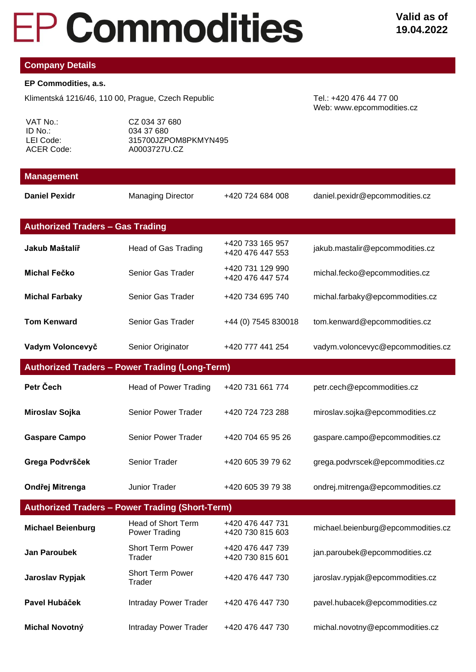# **EP Commodities**

CZ 034 37 680 034 37 680

#### **Company Details**

#### **EP Commodities, a.s.**

VAT No.: ID No.:

Klimentská 1216/46, 110 00, Prague, Czech Republic Tel.: +420 476 44 77 00

Web: www.epcommodities.cz

| .<br>LEI Code:<br><b>ACER Code:</b>                    | טטט וט דעט<br>315700JZPOM8PKMYN495<br>A0003727U.CZ |                                      |                                    |  |
|--------------------------------------------------------|----------------------------------------------------|--------------------------------------|------------------------------------|--|
| <b>Management</b>                                      |                                                    |                                      |                                    |  |
| <b>Daniel Pexidr</b>                                   | <b>Managing Director</b>                           | +420 724 684 008                     | daniel.pexidr@epcommodities.cz     |  |
| <b>Authorized Traders - Gas Trading</b>                |                                                    |                                      |                                    |  |
| Jakub Maštalíř                                         | <b>Head of Gas Trading</b>                         | +420 733 165 957<br>+420 476 447 553 | jakub.mastalir@epcommodities.cz    |  |
| Michal Fečko                                           | Senior Gas Trader                                  | +420 731 129 990<br>+420 476 447 574 | michal.fecko@epcommodities.cz      |  |
| <b>Michal Farbaky</b>                                  | Senior Gas Trader                                  | +420 734 695 740                     | michal.farbaky@epcommodities.cz    |  |
| <b>Tom Kenward</b>                                     | Senior Gas Trader                                  | +44 (0) 7545 830018                  | tom.kenward@epcommodities.cz       |  |
| Vadym Voloncevyč                                       | Senior Originator                                  | +420 777 441 254                     | vadym.voloncevyc@epcommodities.cz  |  |
| <b>Authorized Traders - Power Trading (Long-Term)</b>  |                                                    |                                      |                                    |  |
| Petr Čech                                              | <b>Head of Power Trading</b>                       | +420 731 661 774                     | petr.cech@epcommodities.cz         |  |
| Miroslav Sojka                                         | <b>Senior Power Trader</b>                         | +420 724 723 288                     | miroslav.sojka@epcommodities.cz    |  |
| <b>Gaspare Campo</b>                                   | Senior Power Trader                                | +420 704 65 95 26                    | gaspare.campo@epcommodities.cz     |  |
| Grega Podvršček                                        | Senior Trader                                      | +420 605 39 79 62                    | grega.podvrscek@epcommodities.cz   |  |
| Ondřej Mitrenga                                        | <b>Junior Trader</b>                               | +420 605 39 79 38                    | ondrej.mitrenga@epcommodities.cz   |  |
| <b>Authorized Traders - Power Trading (Short-Term)</b> |                                                    |                                      |                                    |  |
| <b>Michael Beienburg</b>                               | <b>Head of Short Term</b><br>Power Trading         | +420 476 447 731<br>+420 730 815 603 | michael.beienburg@epcommodities.cz |  |
| <b>Jan Paroubek</b>                                    | Short Term Power<br>Trader                         | +420 476 447 739<br>+420 730 815 601 | jan.paroubek@epcommodities.cz      |  |
| Jaroslav Rypjak                                        | <b>Short Term Power</b><br>Trader                  | +420 476 447 730                     | jaroslav.rypjak@epcommodities.cz   |  |
| Pavel Hubáček                                          | <b>Intraday Power Trader</b>                       | +420 476 447 730                     | pavel.hubacek@epcommodities.cz     |  |
| Michal Novotný                                         | Intraday Power Trader                              | +420 476 447 730                     | michal.novotny@epcommodities.cz    |  |